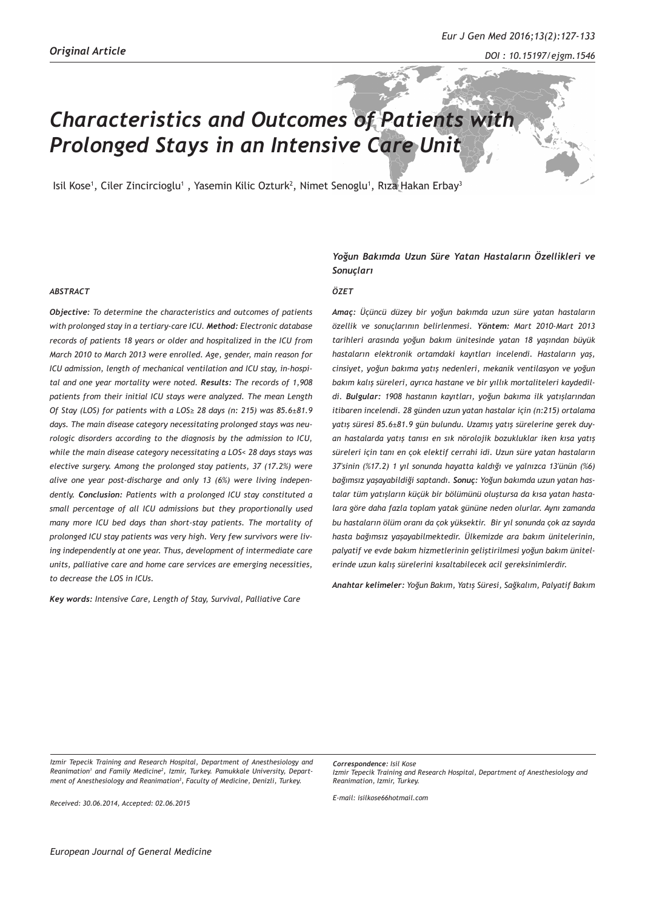# *Characteristics and Outcomes of Patients with Prolonged Stays in an Intensive Care Unit*

Isil Kose', Ciler Zincircioglu' , Yasemin Kilic Ozturk<sup>2</sup>, Nimet Senoglu', Rıza Hakan Erbay<sup>3</sup>

#### *ABSTRACT*

*Objective: To determine the characteristics and outcomes of patients with prolonged stay in a tertiary-care ICU. Method: Electronic database records of patients 18 years or older and hospitalized in the ICU from March 2010 to March 2013 were enrolled. Age, gender, main reason for ICU admission, length of mechanical ventilation and ICU stay, in-hospital and one year mortality were noted. Results: The records of 1,908 patients from their initial ICU stays were analyzed. The mean Length Of Stay (LOS) for patients with a LOS≥ 28 days (n: 215) was 85.6±81.9 days. The main disease category necessitating prolonged stays was neurologic disorders according to the diagnosis by the admission to ICU, while the main disease category necessitating a LOS< 28 days stays was elective surgery. Among the prolonged stay patients, 37 (17.2%) were alive one year post-discharge and only 13 (6%) were living independently. Conclusion: Patients with a prolonged ICU stay constituted a small percentage of all ICU admissions but they proportionally used many more ICU bed days than short-stay patients. The mortality of prolonged ICU stay patients was very high. Very few survivors were living independently at one year. Thus, development of intermediate care units, palliative care and home care services are emerging necessities, to decrease the LOS in ICUs.*

*Key words: Intensive Care, Length of Stay, Survival, Palliative Care* 

# *Yoğun Bakımda Uzun Süre Yatan Hastaların Özellikleri ve Sonuçları*

#### *ÖZET*

*Amaç: Üçüncü düzey bir yoğun bakımda uzun süre yatan hastaların özellik ve sonuçlarının belirlenmesi. Yöntem: Mart 2010-Mart 2013 tarihleri arasında yoğun bakım ünitesinde yatan 18 yaşından büyük hastaların elektronik ortamdaki kayıtları incelendi. Hastaların yaş, cinsiyet, yoğun bakıma yatış nedenleri, mekanik ventilasyon ve yoğun bakım kalış süreleri, ayrıca hastane ve bir yıllık mortaliteleri kaydedildi. Bulgular: 1908 hastanın kayıtları, yoğun bakıma ilk yatışlarından itibaren incelendi. 28 günden uzun yatan hastalar için (n:215) ortalama yatış süresi 85.6±81.9 gün bulundu. Uzamış yatış sürelerine gerek duyan hastalarda yatış tanısı en sık nörolojik bozukluklar iken kısa yatış süreleri için tanı en çok elektif cerrahi idi. Uzun süre yatan hastaların 37'sinin (%17.2) 1 yıl sonunda hayatta kaldığı ve yalnızca 13'ünün (%6) bağımsız yaşayabildiği saptandı. Sonuç: Yoğun bakımda uzun yatan hastalar tüm yatışların küçük bir bölümünü oluştursa da kısa yatan hastalara göre daha fazla toplam yatak gününe neden olurlar. Aynı zamanda bu hastaların ölüm oranı da çok yüksektir. Bir yıl sonunda çok az sayıda hasta bağımsız yaşayabilmektedir. Ülkemizde ara bakım ünitelerinin, palyatif ve evde bakım hizmetlerinin geliştirilmesi yoğun bakım ünitelerinde uzun kalış sürelerini kısaltabilecek acil gereksinimlerdir.* 

*Anahtar kelimeler: Yoğun Bakım, Yatış Süresi, Sağkalım, Palyatif Bakım*

*Izmir Tepecik Training and Research Hospital, Department of Anesthesiology and Reanimation1 and Family Medicine2 , Izmir, Turkey. Pamukkale University, Department of Anesthesiology and Reanimation3 , Faculty of Medicine, Denizli, Turkey.*

*Received: 30.06.2014, Accepted: 02.06.2015*

*Correspondence: Isil Kose Izmir Tepecik Training and Research Hospital, Department of Anesthesiology and Reanimation, Izmir, Turkey.*

*E-mail: isilkose66hotmail.com*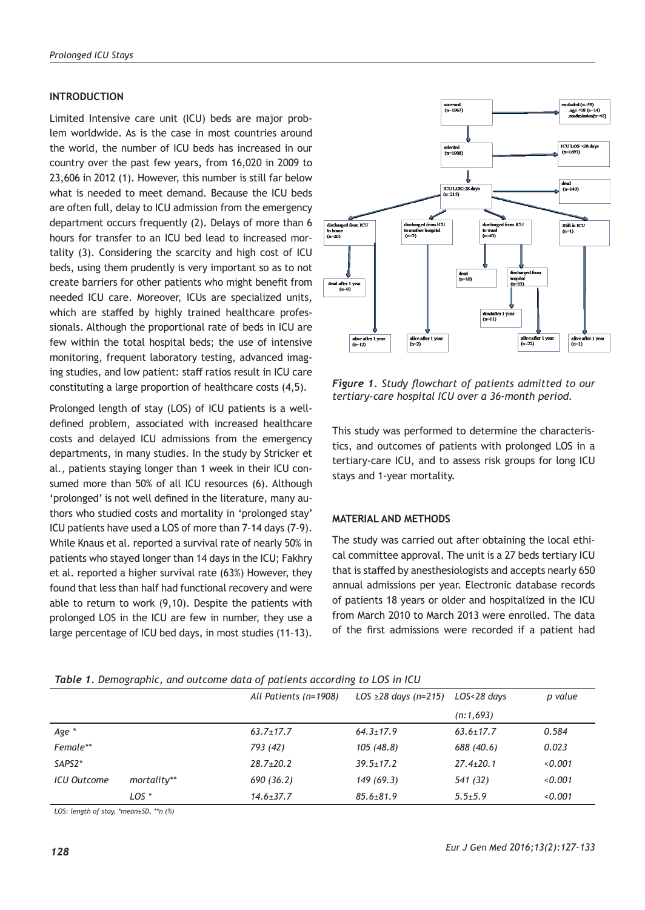# **INTRODUCTION**

Limited Intensive care unit (ICU) beds are major problem worldwide. As is the case in most countries around the world, the number of ICU beds has increased in our country over the past few years, from 16,020 in 2009 to 23,606 in 2012 (1). However, this number is still far below what is needed to meet demand. Because the ICU beds are often full, delay to ICU admission from the emergency department occurs frequently (2). Delays of more than 6 hours for transfer to an ICU bed lead to increased mortality (3). Considering the scarcity and high cost of ICU beds, using them prudently is very important so as to not create barriers for other patients who might benefit from needed ICU care. Moreover, ICUs are specialized units, which are staffed by highly trained healthcare professionals. Although the proportional rate of beds in ICU are few within the total hospital beds; the use of intensive monitoring, frequent laboratory testing, advanced imaging studies, and low patient: staff ratios result in ICU care constituting a large proportion of healthcare costs (4,5).

Prolonged length of stay (LOS) of ICU patients is a welldefined problem, associated with increased healthcare costs and delayed ICU admissions from the emergency departments, in many studies. In the study by Stricker et al., patients staying longer than 1 week in their ICU consumed more than 50% of all ICU resources (6). Although 'prolonged' is not well defined in the literature, many authors who studied costs and mortality in 'prolonged stay' ICU patients have used a LOS of more than 7-14 days (7-9). While Knaus et al. reported a survival rate of nearly 50% in patients who stayed longer than 14 days in the ICU; Fakhry et al. reported a higher survival rate (63%) However, they found that less than half had functional recovery and were able to return to work (9,10). Despite the patients with prolonged LOS in the ICU are few in number, they use a large percentage of ICU bed days, in most studies (11-13).



*Figure 1. Study flowchart of patients admitted to our tertiary-care hospital ICU over a 36-month period.*

This study was performed to determine the characteristics, and outcomes of patients with prolonged LOS in a tertiary-care ICU, and to assess risk groups for long ICU stays and 1-year mortality.

# **MATERIAL AND METHODS**

The study was carried out after obtaining the local ethical committee approval. The unit is a 27 beds tertiary ICU that is staffed by anesthesiologists and accepts nearly 650 annual admissions per year. Electronic database records of patients 18 years or older and hospitalized in the ICU from March 2010 to March 2013 were enrolled. The data of the first admissions were recorded if a patient had

|             |                  | Table 1. Demographic, and outcome data of patients according to LOS in ICU |                                        |                 |         |
|-------------|------------------|----------------------------------------------------------------------------|----------------------------------------|-----------------|---------|
|             |                  | All Patients (n=1908)                                                      | LOS $\geq$ 28 days (n=215) LOS<28 days |                 | p valu  |
|             |                  |                                                                            |                                        | (n:1,693)       |         |
| Age *       |                  | $63.7 \pm 17.7$                                                            | $64.3 \pm 17.9$                        | $63.6 \pm 17.7$ | 0.584   |
| Female**    |                  | 793 (42)                                                                   | 105 (48.8)                             | 688 (40.6)      | 0.023   |
| SAPS2*      |                  | $28.7 \pm 20.2$                                                            | $39.5 \pm 17.2$                        | $27.4 \pm 20.1$ | < 0.001 |
| ICU Outcome | mortality**      | 690 (36.2)                                                                 | 149(69.3)                              | 541 (32)        | < 0.001 |
|             | LOS <sup>*</sup> | $14.6 \pm 37.7$                                                            | $85.6 \pm 81.9$                        | $5.5 + 5.9$     | < 0.001 |

*Table 1. Demographic, and outcome data of patients according to LOS in ICU*

*LOS: length of stay, \*mean±SD, \*\*n (%)*

 *p value*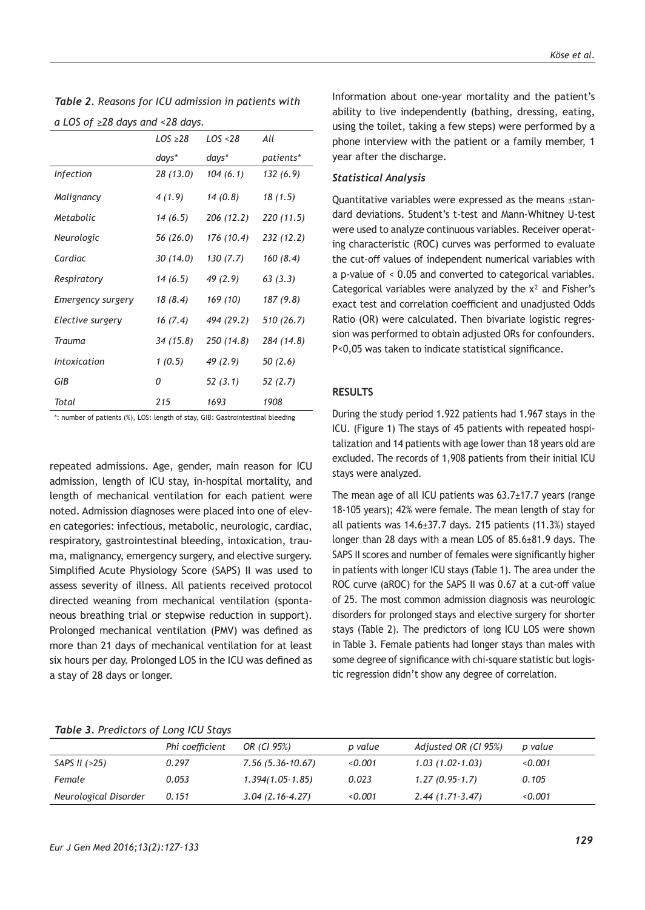| $\alpha$ LOS of $\epsilon$ zo days and $\epsilon$ zo days. |              |            |            |  |  |
|------------------------------------------------------------|--------------|------------|------------|--|--|
|                                                            | $LOS \ge 28$ | LOS <28    | All        |  |  |
|                                                            | days*        | days*      | patients*  |  |  |
| <b>Infection</b>                                           | 28 (13.0)    | 104 (6.1)  | 132 (6.9)  |  |  |
| Malignancy                                                 | 4(1.9)       | 14 (0.8)   | 18 (1.5)   |  |  |
| Metabolic                                                  | 14 (6.5)     | 206 (12.2) | 220 (11.5) |  |  |
| Neurologic                                                 | 56 (26.0)    | 176 (10.4) | 232 (12.2) |  |  |
| Cardiac                                                    | 30 (14.0)    | 130(7.7)   | 160 (8.4)  |  |  |
| Respiratory                                                | 14(6.5)      | 49 (2.9)   | 63(3.3)    |  |  |
| Emergency surgery                                          | 18 (8.4)     | 169 (10)   | 187 (9.8)  |  |  |
| Elective surgery                                           | 16 (7.4)     | 494 (29.2) | 510 (26.7) |  |  |
| Trauma                                                     | 34(15.8)     | 250 (14.8) | 284 (14.8) |  |  |
| <b>Intoxication</b>                                        | 1(0.5)       | 49 (2.9)   | 50(2.6)    |  |  |
| GIB                                                        | 0            | 52 (3.1)   | 52 (2.7)   |  |  |
| Total                                                      | 215          | 1693       | 1908       |  |  |

*Table 2. Reasons for ICU admission in patients with a LOS of ≥28 days and <28 days.*

\*: number of patients (%), LOS: length of stay, GIB: Gastrointestinal bleeding

repeated admissions. Age, gender, main reason for ICU admission, length of ICU stay, in-hospital mortality, and length of mechanical ventilation for each patient were noted. Admission diagnoses were placed into one of eleven categories: infectious, metabolic, neurologic, cardiac, respiratory, gastrointestinal bleeding, intoxication, trauma, malignancy, emergency surgery, and elective surgery. Simplified Acute Physiology Score (SAPS) II was used to assess severity of illness. All patients received protocol directed weaning from mechanical ventilation (spontaneous breathing trial or stepwise reduction in support). Prolonged mechanical ventilation (PMV) was defined as more than 21 days of mechanical ventilation for at least six hours per day. Prolonged LOS in the ICU was defined as a stay of 28 days or longer.

#### *Köse et al.*

Information about one-year mortality and the patient's ability to live independently (bathing, dressing, eating, using the toilet, taking a few steps) were performed by a phone interview with the patient or a family member, 1 year after the discharge.

#### *Statistical Analysis*

Quantitative variables were expressed as the means ±standard deviations. Student's t-test and Mann-Whitney U-test were used to analyze continuous variables. Receiver operating characteristic (ROC) curves was performed to evaluate the cut-off values of independent numerical variables with a p-value of < 0.05 and converted to categorical variables. Categorical variables were analyzed by the x<sup>2</sup> and Fisher's exact test and correlation coefficient and unadjusted Odds Ratio (OR) were calculated. Then bivariate logistic regression was performed to obtain adjusted ORs for confounders. P<0,05 was taken to indicate statistical significance.

#### **RESULTS**

During the study period 1.922 patients had 1.967 stays in the ICU. (Figure 1) The stays of 45 patients with repeated hospitalization and 14 patients with age lower than 18 years old are excluded. The records of 1,908 patients from their initial ICU stays were analyzed.

The mean age of all ICU patients was 63.7±17.7 years (range 18-105 years); 42% were female. The mean length of stay for all patients was 14.6±37.7 days. 215 patients (11.3%) stayed longer than 28 days with a mean LOS of 85.6±81.9 days. The SAPS II scores and number of females were significantly higher in patients with longer ICU stays (Table 1). The area under the ROC curve (aROC) for the SAPS II was 0.67 at a cut-off value of 25. The most common admission diagnosis was neurologic disorders for prolonged stays and elective surgery for shorter stays (Table 2). The predictors of long ICU LOS were shown in Table 3. Female patients had longer stays than males with some degree of significance with chi-square statistic but logistic regression didn't show any degree of correlation.

#### *Table 3. Predictors of Long ICU Stays*

|                       | Phi coefficient | OR (CI 95%)        | p value | Adjusted OR (CI 95%) | p value |
|-----------------------|-----------------|--------------------|---------|----------------------|---------|
| SAPS II $(>25)$       | 0.297           | $7.56(5.36-10.67)$ | 0.001   | $1.03(1.02-1.03)$    | 0.001   |
| Female                | 0.053           | $1.394(1.05-1.85)$ | 0.023   | $1.27(0.95-1.7)$     | 0.105   |
| Neurological Disorder | 0.151           | $3.04(2.16-4.27)$  | < 0.001 | $2.44(1.71-3.47)$    | 0.001   |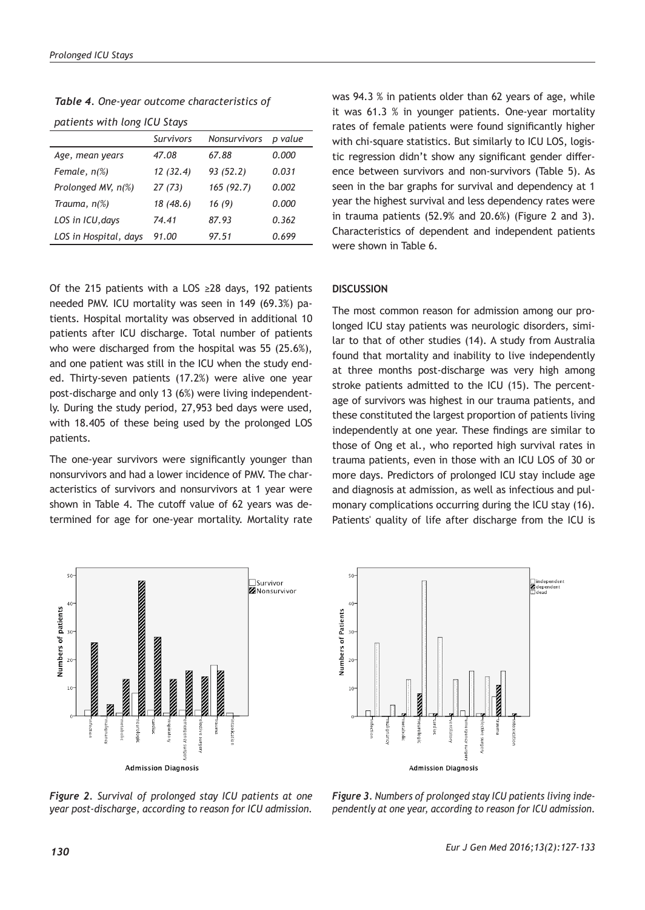*patients with long ICU Stays*

*Table 4. One-year outcome characteristics of* 

| $P^{\alpha}$ . The state of the state $\alpha$ is the state of $\alpha$ |           |              |         |  |  |
|-------------------------------------------------------------------------|-----------|--------------|---------|--|--|
|                                                                         | Survivors | Nonsurvivors | p value |  |  |
| Age, mean years                                                         | 47.08     | 67.88        | 0.000   |  |  |
| Female, n(%)                                                            | 12(32.4)  | 93(52.2)     | 0.031   |  |  |
| Prolonged MV, n(%)                                                      | 27(73)    | 165(92.7)    | 0.002   |  |  |
| Trauma, $n\%$ )                                                         | 18 (48.6) | 16(9)        | 0.000   |  |  |
| LOS in ICU, days                                                        | 74.41     | 87.93        | 0.362   |  |  |
| LOS in Hospital, days                                                   | 91.00     | 97.51        | 0.699   |  |  |

Of the 215 patients with a LOS ≥28 days, 192 patients needed PMV. ICU mortality was seen in 149 (69.3%) patients. Hospital mortality was observed in additional 10 patients after ICU discharge. Total number of patients who were discharged from the hospital was 55 (25.6%), and one patient was still in the ICU when the study ended. Thirty-seven patients (17.2%) were alive one year post-discharge and only 13 (6%) were living independently. During the study period, 27,953 bed days were used, with 18.405 of these being used by the prolonged LOS patients.

The one-year survivors were significantly younger than nonsurvivors and had a lower incidence of PMV. The characteristics of survivors and nonsurvivors at 1 year were shown in Table 4. The cutoff value of 62 years was determined for age for one-year mortality. Mortality rate



**Admission Diagnosis** 

was 94.3 % in patients older than 62 years of age, while it was 61.3 % in younger patients. One-year mortality rates of female patients were found significantly higher with chi-square statistics. But similarly to ICU LOS, logistic regression didn't show any significant gender difference between survivors and non-survivors (Table 5). As seen in the bar graphs for survival and dependency at 1 year the highest survival and less dependency rates were in trauma patients (52.9% and 20.6%) (Figure 2 and 3). Characteristics of dependent and independent patients were shown in Table 6.

# **DISCUSSION**

The most common reason for admission among our prolonged ICU stay patients was neurologic disorders, similar to that of other studies (14). A study from Australia found that mortality and inability to live independently at three months post-discharge was very high among stroke patients admitted to the ICU (15). The percentage of survivors was highest in our trauma patients, and these constituted the largest proportion of patients living independently at one year. These findings are similar to those of Ong et al., who reported high survival rates in trauma patients, even in those with an ICU LOS of 30 or more days. Predictors of prolonged ICU stay include age and diagnosis at admission, as well as infectious and pulmonary complications occurring during the ICU stay (16). Patients' quality of life after discharge from the ICU is



*Figure 2. Survival of prolonged stay ICU patients at one year post-discharge, according to reason for ICU admission.*

*Figure 3. Numbers of prolonged stay ICU patients living independently at one year, according to reason for ICU admission.*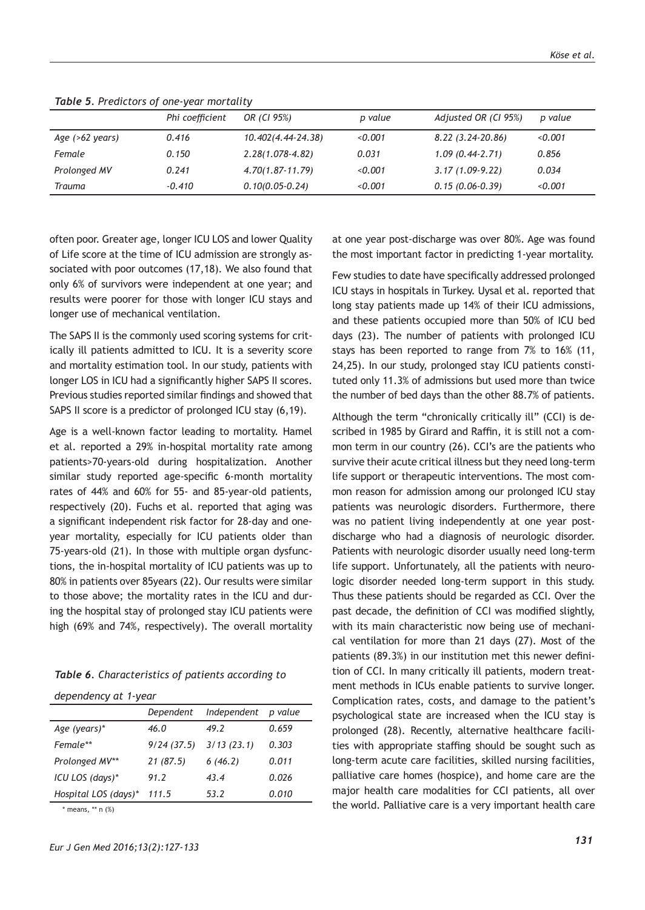|                            | Phi coefficient | OR (CI 95%)         | p value | Adjusted OR (CI 95%) | p value |
|----------------------------|-----------------|---------------------|---------|----------------------|---------|
| Age $( >62 \text{ years})$ | 0.416           | 10.402(4.44-24.38)  | < 0.001 | 8.22 (3.24-20.86)    | 0.001   |
| Female                     | 0.150           | $2.28(1.078-4.82)$  | 0.031   | $1.09(0.44-2.71)$    | 0.856   |
| Prolonged MV               | 0.241           | $4.70(1.87-11.79)$  | < 0.001 | $3.17(1.09-9.22)$    | 0.034   |
| Trauma                     | $-0.410$        | $0.10(0.05 - 0.24)$ | 0.001   | $0.15(0.06-0.39)$    | 0.001   |

*Table 5. Predictors of one-year mortality*

often poor. Greater age, longer ICU LOS and lower Quality of Life score at the time of ICU admission are strongly associated with poor outcomes (17,18). We also found that only 6% of survivors were independent at one year; and results were poorer for those with longer ICU stays and longer use of mechanical ventilation.

The SAPS II is the commonly used scoring systems for critically ill patients admitted to ICU. It is a severity score and mortality estimation tool. In our study, patients with longer LOS in ICU had a significantly higher SAPS II scores. Previous studies reported similar findings and showed that SAPS II score is a predictor of prolonged ICU stay (6,19).

Age is a well-known factor leading to mortality. Hamel et al. reported a 29% in-hospital mortality rate among patients>70-years-old during hospitalization. Another similar study reported age-specific 6-month mortality rates of 44% and 60% for 55- and 85-year-old patients, respectively (20). Fuchs et al. reported that aging was a significant independent risk factor for 28-day and oneyear mortality, especially for ICU patients older than 75-years-old (21). In those with multiple organ dysfunctions, the in-hospital mortality of ICU patients was up to 80% in patients over 85years (22). Our results were similar to those above; the mortality rates in the ICU and during the hospital stay of prolonged stay ICU patients were high (69% and 74%, respectively). The overall mortality

*dependency at 1-year*

|                      | Dependent  | Independent | p value |
|----------------------|------------|-------------|---------|
| Age (years)*         | 46.0       | 49.2        | 0.659   |
| Female**             | 9/24(37.5) | 3/13(23.1)  | 0.303   |
| Prolonged MV**       | 21(87.5)   | 6(46.2)     | 0.011   |
| ICU LOS (days)*      | 91.2       | 43.4        | 0.026   |
| Hospital LOS (days)* | 111.5      | 53.2        | 0.010   |

\* means, \*\* n (%)

at one year post-discharge was over 80%. Age was found the most important factor in predicting 1-year mortality.

Few studies to date have specifically addressed prolonged ICU stays in hospitals in Turkey. Uysal et al. reported that long stay patients made up 14% of their ICU admissions, and these patients occupied more than 50% of ICU bed days (23). The number of patients with prolonged ICU stays has been reported to range from 7% to 16% (11, 24,25). In our study, prolonged stay ICU patients constituted only 11.3% of admissions but used more than twice the number of bed days than the other 88.7% of patients.

Although the term "chronically critically ill" (CCI) is described in 1985 by Girard and Raffin, it is still not a common term in our country (26). CCI's are the patients who survive their acute critical illness but they need long-term life support or therapeutic interventions. The most common reason for admission among our prolonged ICU stay patients was neurologic disorders. Furthermore, there was no patient living independently at one year postdischarge who had a diagnosis of neurologic disorder. Patients with neurologic disorder usually need long-term life support. Unfortunately, all the patients with neurologic disorder needed long-term support in this study. Thus these patients should be regarded as CCI. Over the past decade, the definition of CCI was modified slightly, with its main characteristic now being use of mechanical ventilation for more than 21 days (27). Most of the patients (89.3%) in our institution met this newer definition of CCI. In many critically ill patients, modern treatment methods in ICUs enable patients to survive longer. Complication rates, costs, and damage to the patient's psychological state are increased when the ICU stay is prolonged (28). Recently, alternative healthcare facilities with appropriate staffing should be sought such as long-term acute care facilities, skilled nursing facilities, palliative care homes (hospice), and home care are the major health care modalities for CCI patients, all over the world. Palliative care is a very important health care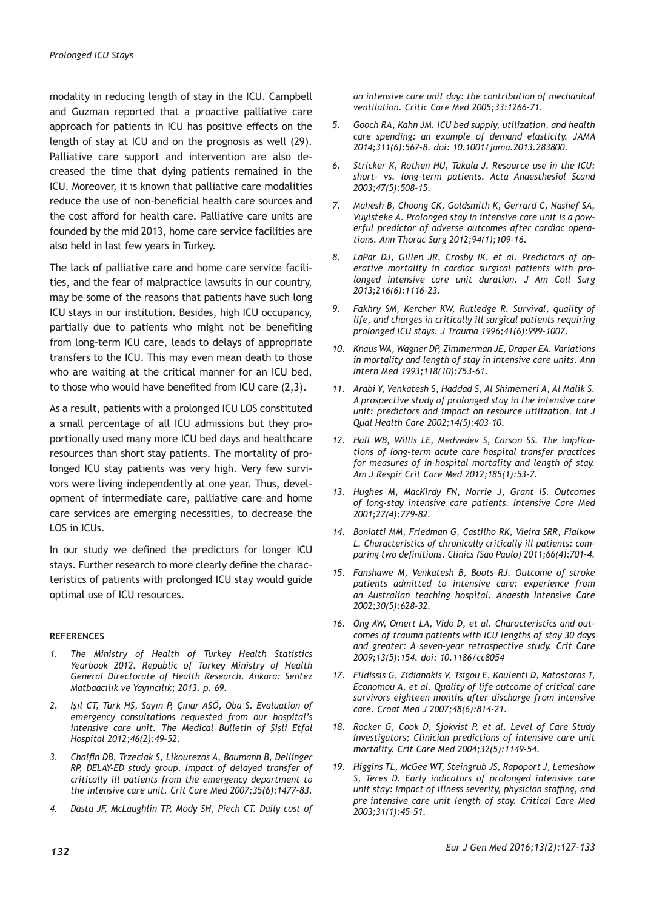modality in reducing length of stay in the ICU. Campbell and Guzman reported that a proactive palliative care approach for patients in ICU has positive effects on the length of stay at ICU and on the prognosis as well (29). Palliative care support and intervention are also decreased the time that dying patients remained in the ICU. Moreover, it is known that palliative care modalities reduce the use of non-beneficial health care sources and the cost afford for health care. Palliative care units are founded by the mid 2013, home care service facilities are also held in last few years in Turkey.

The lack of palliative care and home care service facilities, and the fear of malpractice lawsuits in our country, may be some of the reasons that patients have such long ICU stays in our institution. Besides, high ICU occupancy, partially due to patients who might not be benefiting from long-term ICU care, leads to delays of appropriate transfers to the ICU. This may even mean death to those who are waiting at the critical manner for an ICU bed, to those who would have benefited from ICU care (2,3).

As a result, patients with a prolonged ICU LOS constituted a small percentage of all ICU admissions but they proportionally used many more ICU bed days and healthcare resources than short stay patients. The mortality of prolonged ICU stay patients was very high. Very few survivors were living independently at one year. Thus, development of intermediate care, palliative care and home care services are emerging necessities, to decrease the LOS in ICUs.

In our study we defined the predictors for longer ICU stays. Further research to more clearly define the characteristics of patients with prolonged ICU stay would guide optimal use of ICU resources.

# **REFERENCES**

- *1. The Ministry of Health of Turkey Health Statistics Yearbook 2012. Republic of Turkey Ministry of Health General Directorate of Health Research. Ankara: Sentez Matbaacılık ve Yayıncılık; 2013. p. 69.*
- *2. Işıl CT, Turk HŞ, Sayın P, Çınar ASÖ, Oba S. Evaluation of emergency consultations requested from our hospital's intensive care unit. The Medical Bulletin of Şişli Etfal Hospital 2012;46(2):49-52.*
- *3. Chalfin DB, Trzeciak S, Likourezos A, Baumann B, Dellinger RP, DELAY-ED study group. Impact of delayed transfer of critically ill patients from the emergency department to the intensive care unit. Crit Care Med 2007;35(6):1477-83.*
- *4. Dasta JF, McLaughlin TP, Mody SH, Piech CT. Daily cost of*

*an intensive care unit day: the contribution of mechanical ventilation. Critic Care Med 2005;33:1266–71.*

- *5. Gooch RA, Kahn JM. ICU bed supply, utilization, and health care spending: an example of demand elasticity. JAMA 2014;311(6):567-8. doi: 10.1001/jama.2013.283800.*
- *6. Stricker K, Rothen HU, Takala J. Resource use in the ICU: short- vs. long-term patients. Acta Anaesthesiol Scand 2003;47(5):508-15.*
- *7. Mahesh B, Choong CK, Goldsmith K, Gerrard C, Nashef SA, Vuylsteke A. Prolonged stay in intensive care unit is a powerful predictor of adverse outcomes after cardiac operations. Ann Thorac Surg 2012;94(1);109-16.*
- *8. LaPar DJ, Gillen JR, Crosby IK, et al. Predictors of operative mortality in cardiac surgical patients with prolonged intensive care unit duration. J Am Coll Surg 2013;216(6):1116-23.*
- *9. Fakhry SM, Kercher KW, Rutledge R. Survival, quality of life, and charges in critically ill surgical patients requiring prolonged ICU stays. J Trauma 1996;41(6):999-1007.*
- *10. Knaus WA, Wagner DP, Zimmerman JE, Draper EA. Variations in mortality and length of stay in intensive care units. Ann Intern Med 1993;118(10):753-61.*
- *11. Arabi Y, Venkatesh S, Haddad S, Al Shimemeri A, Al Malik S. A prospective study of prolonged stay in the intensive care unit: predictors and impact on resource utilization. Int J Qual Health Care 2002;14(5):403-10.*
- *12. Hall WB, Willis LE, Medvedev S, Carson SS. The implications of long-term acute care hospital transfer practices for measures of in-hospital mortality and length of stay. Am J Respir Crit Care Med 2012;185(1):53-7.*
- *13. Hughes M, MacKirdy FN, Norrie J, Grant IS. Outcomes of long-stay intensive care patients. Intensive Care Med 2001;27(4):779-82.*
- *14. Boniatti MM, Friedman G, Castilho RK, Vieira SRR, Fialkow L. Characteristics of chronically critically ill patients: comparing two definitions. Clinics (Sao Paulo) 2011;66(4):701-4.*
- *15. Fanshawe M, Venkatesh B, Boots RJ. Outcome of stroke patients admitted to intensive care: experience from an Australian teaching hospital. Anaesth Intensive Care 2002;30(5):628-32.*
- *16. Ong AW, Omert LA, Vido D, et al. Characteristics and outcomes of trauma patients with ICU lengths of stay 30 days and greater: A seven-year retrospective study. Crit Care 2009;13(5):154. doi: 10.1186/cc8054*
- *17. Fildissis G, Zidianakis V, Tsigou E, Koulenti D, Katostaras T, Economou A, et al. Quality of life outcome of critical care survivors eighteen months after discharge from intensive care. Croat Med J 2007;48(6):814-21.*
- *18. Rocker G, Cook D, Sjokvist P, et al. Level of Care Study Investigators; Clinician predictions of intensive care unit mortality. Crit Care Med 2004;32(5):1149-54.*
- *19. Higgins TL, McGee WT, Steingrub JS, Rapoport J, Lemeshow S, Teres D. Early indicators of prolonged intensive care unit stay: Impact of illness severity, physician staffing, and pre–intensive care unit length of stay. Critical Care Med 2003;31(1):45-51.*